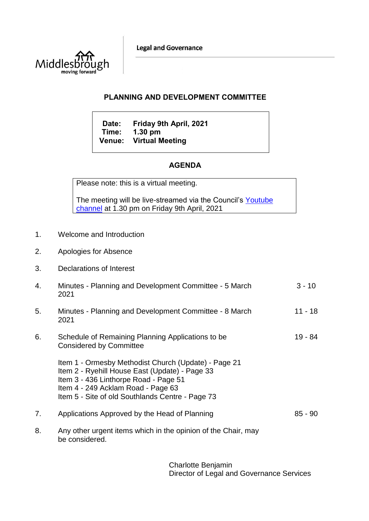**Legal and Governance** 



## **PLANNING AND DEVELOPMENT COMMITTEE**

**Date: Friday 9th April, 2021 Time: 1.30 pm Venue: Virtual Meeting**

## **AGENDA**

Please note: this is a virtual meeting.

The meeting will be live-streamed via the Council's [Youtube](https://www.youtube.com/user/middlesbroughcouncil)  [channel](https://www.youtube.com/user/middlesbroughcouncil) at 1.30 pm on Friday 9th April, 2021

- 1. Welcome and Introduction
- 2. Apologies for Absence
- 3. Declarations of Interest
- 4. Minutes Planning and Development Committee 5 March 2021  $3 - 10$
- 5. Minutes Planning and Development Committee 8 March 2021 11 - 18
- 6. Schedule of Remaining Planning Applications to be Considered by Committee 19 - 84
	- Item 1 Ormesby Methodist Church (Update) Page 21 Item 2 - Ryehill House East (Update) - Page 33 Item 3 - 436 Linthorpe Road - Page 51 Item 4 - 249 Acklam Road - Page 63 Item 5 - Site of old Southlands Centre - Page 73
- 7. Applications Approved by the Head of Planning 85 90
- 8. Any other urgent items which in the opinion of the Chair, may be considered.

Charlotte Benjamin Director of Legal and Governance Services